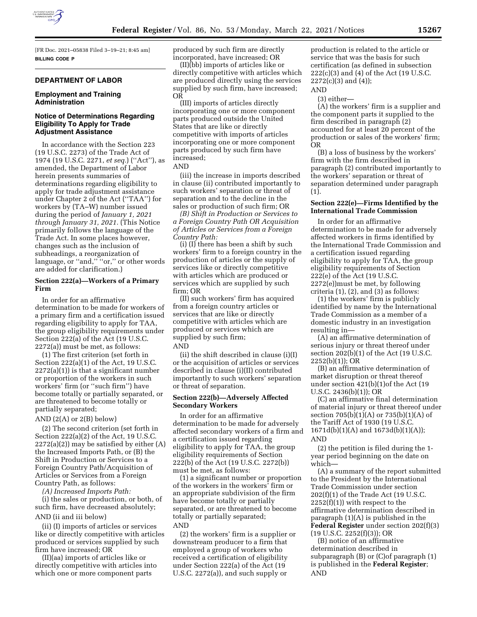

[FR Doc. 2021–05838 Filed 3–19–21; 8:45 am] **BILLING CODE P** 

## **DEPARTMENT OF LABOR**

### **Employment and Training Administration**

### **Notice of Determinations Regarding Eligibility To Apply for Trade Adjustment Assistance**

In accordance with the Section 223 (19 U.S.C. 2273) of the Trade Act of 1974 (19 U.S.C. 2271, *et seq.*) (''Act''), as amended, the Department of Labor herein presents summaries of determinations regarding eligibility to apply for trade adjustment assistance under Chapter 2 of the Act (''TAA'') for workers by (TA–W) number issued during the period of *January 1, 2021 through January 31, 2021.* (This Notice primarily follows the language of the Trade Act. In some places however, changes such as the inclusion of subheadings, a reorganization of language, or "and," "or," or other words are added for clarification.)

### **Section 222(a)—Workers of a Primary Firm**

In order for an affirmative determination to be made for workers of a primary firm and a certification issued regarding eligibility to apply for TAA, the group eligibility requirements under Section 222(a) of the Act (19 U.S.C. 2272(a)) must be met, as follows:

(1) The first criterion (set forth in Section 222(a)(1) of the Act, 19 U.S.C.  $2272(a)(1)$ ) is that a significant number or proportion of the workers in such workers' firm (or ''such firm'') have become totally or partially separated, or are threatened to become totally or partially separated;

AND  $(2(A)$  or  $2(B)$  below)

(2) The second criterion (set forth in Section 222(a)(2) of the Act, 19 U.S.C.  $2272(a)(2)$  may be satisfied by either  $(A)$ the Increased Imports Path, or (B) the Shift in Production or Services to a Foreign Country Path/Acquisition of Articles or Services from a Foreign Country Path, as follows:

*(A) Increased Imports Path:* 

(i) the sales or production, or both, of such firm, have decreased absolutely;

# AND (ii and iii below)

(ii) (I) imports of articles or services like or directly competitive with articles produced or services supplied by such firm have increased; OR

(II)(aa) imports of articles like or directly competitive with articles into which one or more component parts

produced by such firm are directly incorporated, have increased; OR

(II)(bb) imports of articles like or directly competitive with articles which are produced directly using the services supplied by such firm, have increased; OR

(III) imports of articles directly incorporating one or more component parts produced outside the United States that are like or directly competitive with imports of articles incorporating one or more component parts produced by such firm have increased;

AND

(iii) the increase in imports described in clause (ii) contributed importantly to such workers' separation or threat of separation and to the decline in the sales or production of such firm; OR

*(B) Shift in Production or Services to a Foreign Country Path OR Acquisition of Articles or Services from a Foreign Country Path:* 

(i) (I) there has been a shift by such workers' firm to a foreign country in the production of articles or the supply of services like or directly competitive with articles which are produced or services which are supplied by such firm; OR

(II) such workers' firm has acquired from a foreign country articles or services that are like or directly competitive with articles which are produced or services which are supplied by such firm; AND

(ii) the shift described in clause (i)(I) or the acquisition of articles or services described in clause (i)(II) contributed importantly to such workers' separation or threat of separation.

#### **Section 222(b)—Adversely Affected Secondary Workers**

In order for an affirmative determination to be made for adversely affected secondary workers of a firm and a certification issued regarding eligibility to apply for TAA, the group eligibility requirements of Section 222(b) of the Act (19 U.S.C. 2272(b)) must be met, as follows:

(1) a significant number or proportion of the workers in the workers' firm or an appropriate subdivision of the firm have become totally or partially separated, or are threatened to become totally or partially separated; AND

(2) the workers' firm is a supplier or downstream producer to a firm that employed a group of workers who received a certification of eligibility under Section 222(a) of the Act (19 U.S.C. 2272(a)), and such supply or

production is related to the article or service that was the basis for such certification (as defined in subsection 222(c)(3) and (4) of the Act (19 U.S.C.  $2272(c)(3)$  and  $(4)$ );

AND

(3) either—

(A) the workers' firm is a supplier and the component parts it supplied to the firm described in paragraph (2) accounted for at least 20 percent of the production or sales of the workers' firm; OR

(B) a loss of business by the workers' firm with the firm described in paragraph (2) contributed importantly to the workers' separation or threat of separation determined under paragraph (1).

## **Section 222(e)—Firms Identified by the International Trade Commission**

In order for an affirmative determination to be made for adversely affected workers in firms identified by the International Trade Commission and a certification issued regarding eligibility to apply for TAA, the group eligibility requirements of Section 222(e) of the Act (19 U.S.C. 2272(e))must be met, by following criteria (1), (2), and (3) as follows:

(1) the workers' firm is publicly identified by name by the International Trade Commission as a member of a domestic industry in an investigation resulting in—

(A) an affirmative determination of serious injury or threat thereof under section 202(b)(1) of the Act (19 U.S.C. 2252(b)(1)); OR

(B) an affirmative determination of market disruption or threat thereof under section 421(b)(1)of the Act (19 U.S.C. 2436(b)(1)); OR

(C) an affirmative final determination of material injury or threat thereof under section 705(b)(1)(A) or 735(b)(1)(A) of the Tariff Act of 1930 (19 U.S.C. 1671d(b)(1)(A) and 1673d(b)(1)(A)); AND

(2) the petition is filed during the 1 year period beginning on the date on which—

(A) a summary of the report submitted to the President by the International Trade Commission under section 202(f)(1) of the Trade Act (19 U.S.C.  $2252(f)(1)$ ) with respect to the affirmative determination described in paragraph (1)(A) is published in the **Federal Register** under section 202(f)(3) (19 U.S.C. 2252(f)(3)); OR

(B) notice of an affirmative determination described in subparagraph (B) or (C)of paragraph (1) is published in the **Federal Register**; AND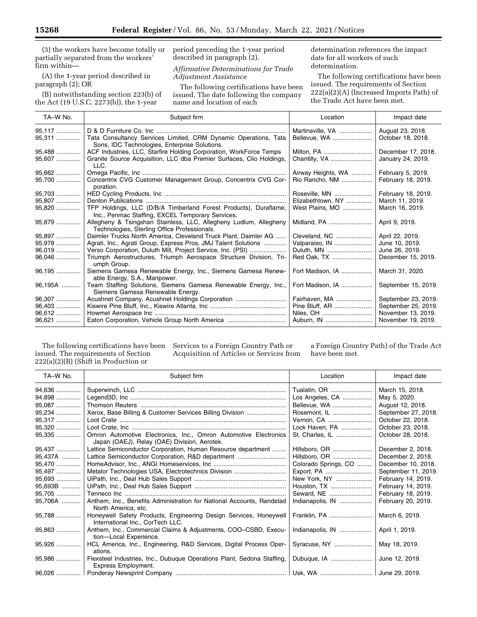(3) the workers have become totally or partially separated from the workers' firm within—

(A) the 1-year period described in paragraph (2); OR

(B) notwithstanding section 223(b) of the Act (19 U.S.C. 2273(b)), the 1-year

period preceding the 1-year period described in paragraph (2).

*Affirmative Determinations for Trade Adjustment Assistance* 

The following certifications have been issued. The date following the company name and location of each

determination references the impact date for all workers of such determination.

The following certifications have been issued. The requirements of Section 222(a)(2)(A) (Increased Imports Path) of the Trade Act have been met.

| TA-W No.                               | Subject firm                                                                                                                                                                                     | Location                                              | Impact date                                                                            |
|----------------------------------------|--------------------------------------------------------------------------------------------------------------------------------------------------------------------------------------------------|-------------------------------------------------------|----------------------------------------------------------------------------------------|
| 95,117<br>95,311                       | Tata Consultancy Services Limited, CRM Dynamic Operations, Tata<br>Sons, IDC Technologies, Enterprise Solutions.                                                                                 | Martinsville, VA<br>Bellevue, WA                      | August 23, 2018.<br>October 18, 2018.                                                  |
| 95,488<br>95,607                       | ACF Industries, LLC, Starfire Holding Corporation, WorkForce Temps<br>Granite Source Acquisition, LLC dba Premier Surfaces, Clio Holdings,<br>LLC.                                               | Milton, PA<br>Chantilly, VA                           | December 17, 2018.<br>January 24, 2019.                                                |
| 95,662<br>95,700                       | Concentrix CVG Customer Management Group, Concentrix CVG Cor-<br>poration.                                                                                                                       | Airway Heights, WA<br>Rio Rancho, NM                  | February 5, 2019.<br>February 18, 2019.                                                |
| 95,703<br>95,807<br>95,820             | TFP Holdings, LLC (D/B/A Timberland Forest Products), Duraflame,                                                                                                                                 | Roseville, MN<br>Elizabethtown, NY<br>West Plains, MO | February 18, 2019.<br>March 11, 2019.<br>March 16, 2019.                               |
| 95,879                                 | Inc., Penmac Staffing, EXCEL Temporary Services.<br>Allegheny & Tsingshan Stainless, LLC, Allegheny Ludlum, Allegheny<br>Technologies, Sterling Office Professionals.                            | Midland, PA                                           | April 9, 2019.                                                                         |
| 95,897<br>95,978<br>96,019             | Daimler Trucks North America, Cleveland Truck Plant, Daimler AG<br>Agrati, Inc., Agrati Group, Express Pros, JMJ Talent Solutions<br>Verso Corporation, Duluth Mill, Project Service, Inc. (PSI) | Cleveland, NC<br>Valparaiso, IN<br>Duluth, MN         | April 22, 2019.<br>June 10, 2019.<br>June 26, 2019.                                    |
| 96,046<br>96,195                       | Triumph Aerostructures, Triumph Aerospace Structure Division, Tri-<br>umph Group.<br>Siemens Gamesa Renewable Energy, Inc., Siemens Gamesa Renew-                                                | Red Oak, TX<br>Fort Madison, IA                       | December 15, 2019.<br>March 31, 2020.                                                  |
| 96,195A                                | able Energy, S.A., Manpower.<br>Team Staffing Solutions, Siemens Gamesa Renewable Energy, Inc.,<br>Siemens Gamesa Renewable Energy.                                                              | Fort Madison, IA                                      | September 15, 2019.                                                                    |
| 96.307<br>96,403<br>$96,612$<br>96,621 | Acushnet Company, Acushnet Holdings Corporation<br>Eaton Corporation, Vehicle Group North America                                                                                                | Fairhaven, MA<br>Pine Bluff, AR                       | September 23, 2019.<br>September 25, 2019.<br>November 13, 2019.<br>November 19, 2019. |

The following certifications have been issued. The requirements of Section 222(a)(2)(B) (Shift in Production or

Services to a Foreign Country Path or Acquisition of Articles or Services from

a Foreign Country Path) of the Trade Act have been met.

| TA-W No. | Subject firm                                                                                                     | Location             | Impact date         |
|----------|------------------------------------------------------------------------------------------------------------------|----------------------|---------------------|
| 94,636   |                                                                                                                  | Tualatin, OR         | March 15, 2018.     |
| 94,898   |                                                                                                                  | Los Angeles, CA      | May 5, 2020.        |
| 95,087   |                                                                                                                  | Bellevue, WA         | August 12, 2018.    |
| 95,234   | Xerox, Base Billing & Customer Services Billing Division                                                         | Rosemont, IL         | September 27, 2018. |
| 95,317   |                                                                                                                  | Vernon, CA           | October 22, 2018.   |
| 95,320   |                                                                                                                  | Lock Haven, PA       | October 23, 2018.   |
| 95,335   | Omron Automotive Electronics, Inc., Omron Automotive Electronics<br>Japan (OAEJ), Relay (OAE) Division, Aerotek. | St. Charles, IL      | October 28, 2018.   |
| 95,437   | Lattice Semiconductor Corporation, Human Resource department                                                     | Hillsboro. OR        | December 2, 2018.   |
| 95,437A  | Lattice Semiconductor Corporation, R&D department                                                                | Hillsboro, OR        | December 2, 2018.   |
| 95,470   |                                                                                                                  | Colorado Springs, CO | December 10, 2018.  |
| 95,497   | Metalor Technologies USA, Electrotechnics Division                                                               | Export, PA           | September 11, 2019. |
| 95,693   |                                                                                                                  | New York, NY         | February 14, 2019.  |
| 95,693B  |                                                                                                                  | Houston, TX          | February 14, 2019.  |
| 95,705   |                                                                                                                  | Seward, NE           | February 18, 2019.  |
| 95,706A  | Anthem, Inc., Benefits Administration for National Accounts, Randstad<br>North America, etc.                     | Indianapolis, IN     | February 20, 2019.  |
| 95,788   | Honeywell Safety Products, Engineering Design Services, Honeywell<br>International Inc., CorTech LLC.            | Franklin, PA         | March 6, 2019.      |
| 95,863   | Anthem, Inc., Commercial Claims & Adjustments, COO-CSBD, Execu-<br>tion-Local Experience.                        | Indianapolis, IN     | April 1, 2019.      |
| 95,926   | HCL America, Inc., Engineering, R&D Services, Digital Process Oper-<br>ations.                                   | Syracuse, NY         | May 18, 2019.       |
| 95,986   | Flexsteel Industries, Inc., Dubuque Operations Plant, Sedona Staffing,<br>Express Employment.                    |                      | June 12, 2019.      |
|          |                                                                                                                  |                      |                     |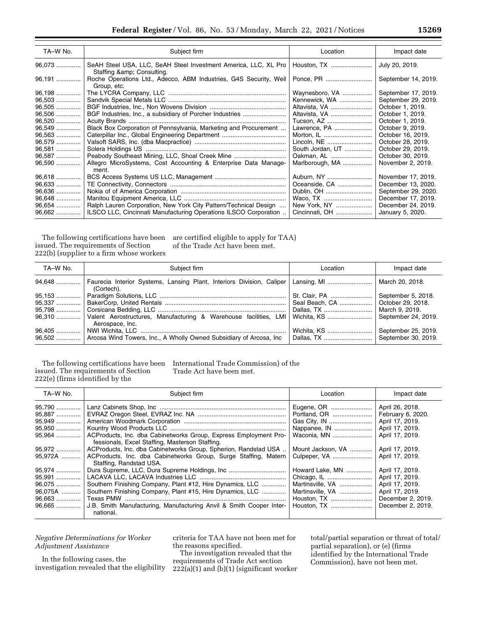| TA-W No. | Subject firm                                                                              | Location         | Impact date         |
|----------|-------------------------------------------------------------------------------------------|------------------|---------------------|
| 96,073   | SeAH Steel USA, LLC, SeAH Steel Investment America, LLC, XL Pro<br>Staffing & Consulting. | Houston, TX      | July 20, 2019.      |
| 96,191   | Roche Operations Ltd., Adecco, ABM Industries, G4S Security, Weil<br>Group, etc.          | Ponce, PR        | September 14, 2019. |
| 96,198   |                                                                                           | Waynesboro, VA   | September 17, 2019. |
| 96,503   |                                                                                           | Kennewick, WA    | September 29, 2019. |
| 96,505   |                                                                                           | Altavista, VA    | October 1, 2019.    |
| 96,506   |                                                                                           | Altavista, VA    | October 1, 2019.    |
| 96,520   |                                                                                           | Tucson, AZ       | October 1, 2019.    |
| 96,549   | Black Box Corporation of Pennsylvania, Marketing and Procurement                          | Lawrence, PA     | October 9, 2019.    |
| 96,563   |                                                                                           | Morton, IL       | October 16, 2019.   |
| 96,579   |                                                                                           | Lincoln, NE      | October 28, 2019.   |
| 96,581   |                                                                                           | South Jordan, UT | October 29, 2019.   |
| 96,587   | Peabody Southeast Mining, LLC, Shoal Creek Mine                                           | Oakman, AL       | October 30, 2019.   |
| 96,590   | Allegro MicroSystems, Cost Accounting & Enterprise Data Manage-<br>ment.                  | Marlborough, MA  | November 2, 2019.   |
| 96,618   |                                                                                           | Auburn, NY       | November 17, 2019.  |
| 96,633   |                                                                                           | Oceanside, CA    | December 13, 2020.  |
| 96,636   |                                                                                           | Dublin, OH       | September 29, 2020. |
| 96,648   |                                                                                           | Waco, TX         | December 17, 2019.  |
| 96,654   | Ralph Lauren Corporation, New York City Pattern/Technical Design                          | New York, NY     | December 24, 2019.  |
| 96,662   | ILSCO LLC, Cincinnati Manufacturing Operations ILSCO Corporation                          | Cincinnati, OH   | January 5, 2020.    |

The following certifications have been issued. The requirements of Section 222(b) (supplier to a firm whose workers

are certified eligible to apply for TAA) of the Trade Act have been met.

| TA-W No. | Subject firm                                                                                  | Location | Impact date         |
|----------|-----------------------------------------------------------------------------------------------|----------|---------------------|
|          | 94,648  Faurecia Interior Systems, Lansing Plant, Interiors Division, Caliper<br>(Cortech).   |          | March 20, 2018.     |
| $95.153$ |                                                                                               |          | September 5, 2018.  |
|          |                                                                                               |          | October 29, 2018.   |
|          |                                                                                               |          | March 9, 2019.      |
|          | 96,310    Valent Aerostructures, Manufacturing & Warehouse facilities, LMI<br>Aerospace, Inc. |          | September 24, 2019. |
| 96,405   |                                                                                               |          | September 25, 2019. |
|          | 96,502    Arcosa Wind Towers, Inc., A Wholly Owned Subsidiary of Arcosa, Inc                  |          | September 30, 2019. |

The following certifications have been issued. The requirements of Section 222(e) (firms identified by the

International Trade Commission) of the Trade Act have been met.

| TA-W No.                                                    | Subject firm                                                                                                                                                                                                     | Location                                                                              | Impact date                                                                                                        |
|-------------------------------------------------------------|------------------------------------------------------------------------------------------------------------------------------------------------------------------------------------------------------------------|---------------------------------------------------------------------------------------|--------------------------------------------------------------------------------------------------------------------|
| 95,790<br>95,887<br>95.949<br>95,950<br>95,964              | ACProducts, Inc. dba Cabinetworks Group, Express Employment Pro-                                                                                                                                                 | Eugene, OR<br>Portland, OR<br>Nappanee, IN<br>Waconia, MN                             | April 26, 2018.<br>February 6, 2020.<br>April 17, 2019.<br>April 17, 2019.<br>April 17, 2019.                      |
| 95,972<br>95,972A                                           | fessionals, Excel Staffing, Masterson Staffing.<br>ACProducts, Inc. dba Cabinetworks Group, Spherion, Randstad USA<br>ACProducts, Inc. dba Cabinetworks Group, Surge Staffing, Matern<br>Staffing, Randstad USA. | Mount Jackson, VA<br>Culpeper, VA                                                     | April 17, 2019.<br>April 17, 2019.                                                                                 |
| 95,974<br>95.991<br>96,075<br>96,075A<br>96,663<br>$96.665$ | Southern Finishing Company, Plant #12, Hire Dynamics, LLC<br>Southern Finishing Company, Plant #15, Hire Dynamics, LLC<br>J.B. Smith Manufacturing, Manufacturing Anvil & Smith Cooper Inter-<br>national.       | Howard Lake, MN<br>Martinsville, VA<br>Martinsville, VA<br>Houston, TX<br>Houston, TX | April 17, 2019.<br>April 17, 2019.<br>April 17, 2019.<br>April 17, 2019.<br>December 2, 2019.<br>December 2, 2019. |

*Negative Determinations for Worker Adjustment Assistance* 

In the following cases, the investigation revealed that the eligibility

criteria for TAA have not been met for the reasons specified.

The investigation revealed that the requirements of Trade Act section  $222(a)(1)$  and  $(b)(1)$  (significant worker total/partial separation or threat of total/ partial separation), or (e) (firms identified by the International Trade Commission), have not been met.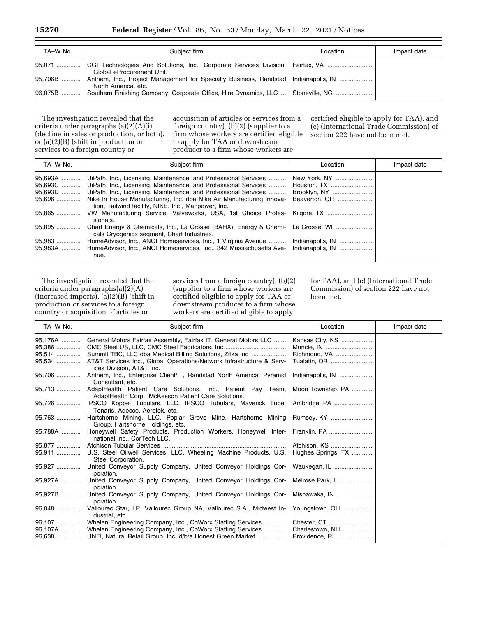| TA-W No. | Subject firm                                                                                                | Location | Impact date |
|----------|-------------------------------------------------------------------------------------------------------------|----------|-------------|
|          | Global eProcurement Unit.                                                                                   |          |             |
| 95,706B  | Anthem, Inc., Project Management for Specialty Business, Randstad   Indianapolis, IN<br>North America, etc. |          |             |
|          | 96.075B  Southern Finishing Company, Corporate Office, Hire Dynamics, LLC  Stoneville, NC                   |          |             |

The investigation revealed that the criteria under paragraphs (a)(2)(A)(i) (decline in sales or production, or both), or (a)(2)(B) (shift in production or services to a foreign country or

acquisition of articles or services from a foreign country), (b)(2) (supplier to a firm whose workers are certified eligible to apply for TAA or downstream producer to a firm whose workers are

certified eligible to apply for TAA), and (e) (International Trade Commission) of section 222 have not been met.

| TA-W No.                     | Subject firm                                                                                                                                                                                                                                                                                | Location                                                     | Impact date |
|------------------------------|---------------------------------------------------------------------------------------------------------------------------------------------------------------------------------------------------------------------------------------------------------------------------------------------|--------------------------------------------------------------|-------------|
| 95,693A<br>95,693D<br>95,696 | UiPath, Inc., Licensing, Maintenance, and Professional Services<br>95,693C    UiPath, Inc., Licensing, Maintenance, and Professional Services   <br>UiPath, Inc., Licensing, Maintenance, and Professional Services<br>Nike In House Manufacturing, Inc. dba Nike Air Manufacturing Innova- | New York, NY<br>Houston, TX<br>Brooklyn, NY<br>Beaverton, OR |             |
| 95,865                       | tion, Tailwind facility, NIKE, Inc., Manpower, Inc.<br>VW Manufacturing Service, Valveworks, USA, 1st Choice Profes-<br>sionals.                                                                                                                                                            | Kilgore, TX                                                  |             |
| 95,895                       | Chart Energy & Chemicals, Inc., La Crosse (BAHX), Energy & Chemi-   La Crosse, WI<br>cals Cryogenics segment, Chart Industries.                                                                                                                                                             |                                                              |             |
| 95,983                       | HomeAdvisor, Inc., ANGI Homeservices, Inc., 1 Virginia Avenue<br>HomeAdvisor, Inc., ANGI Homeservices, Inc., 342 Massachusetts Ave-<br>nue.                                                                                                                                                 | Indianapolis, IN<br>Indianapolis, IN                         |             |

The investigation revealed that the criteria under paragraphs(a)(2)(A)  $(increased\ imports), (a)(2)(B) (shift\ in$ production or services to a foreign country or acquisition of articles or

services from a foreign country), (b)(2) (supplier to a firm whose workers are certified eligible to apply for TAA or downstream producer to a firm whose workers are certified eligible to apply

for TAA), and (e) (International Trade Commission) of section 222 have not been met.

| TA-W No.                              | Subject firm                                                                                                                                                                                                                    | Location                                        | Impact date |
|---------------------------------------|---------------------------------------------------------------------------------------------------------------------------------------------------------------------------------------------------------------------------------|-------------------------------------------------|-------------|
| 95,176A<br>95,386<br>95,514<br>95,534 | General Motors Fairfax Assembly, Fairfax IT, General Motors LLC<br>Summit TBC, LLC dba Medical Billing Solutions, Zrlka Inc<br>AT&T Services Inc., Global Operations/Network Infrastructure & Serv-<br>ices Division, AT&T Inc. | Kansas City, KS<br>Richmond, VA<br>Tualatin, OR |             |
| 95,706                                | Anthem, Inc., Enterprise Client/IT, Randstad North America, Pyramid<br>Consultant, etc.                                                                                                                                         | Indianapolis, IN                                |             |
| 95,713                                | AdaptHealth Patient Care Solutions, Inc., Patient Pay Team,<br>AdaptHealth Corp., McKesson Patient Care Solutions.                                                                                                              | Moon Township, PA                               |             |
| 95,726                                | IPSCO Koppel Tubulars, LLC, IPSCO Tubulars, Maverick Tube,<br>Tenaris, Adecco, Aerotek, etc.                                                                                                                                    | Ambridge, PA                                    |             |
| 95,763                                | Hartshorne Mining, LLC, Poplar Grove Mine, Hartshorne Mining<br>Group, Hartshorne Holdings, etc.                                                                                                                                | Rumsey, KY                                      |             |
| 95,788A                               | Honeywell Safety Products, Production Workers, Honeywell Inter-<br>national Inc., CorTech LLC.                                                                                                                                  | Franklin, PA                                    |             |
| 95,877<br>95,911                      | U.S. Steel Oilwell Services, LLC, Wheeling Machine Products, U.S.<br>Steel Corporation.                                                                                                                                         | Atchison, KS<br>Hughes Springs, TX              |             |
| 95,927                                | United Conveyor Supply Company, United Conveyor Holdings Cor-<br>poration.                                                                                                                                                      | Waukegan, IL                                    |             |
| 95.927A                               | United Conveyor Supply Company, United Conveyor Holdings Cor-<br>poration.                                                                                                                                                      | Melrose Park, IL                                |             |
| 95,927B                               | United Conveyor Supply Company, United Conveyor Holdings Cor-<br>poration.                                                                                                                                                      | Mishawaka, IN                                   |             |
| $96.048$                              | Vallourec Star, LP, Vallourec Group NA, Vallourec S.A., Midwest In-<br>dustrial, etc.                                                                                                                                           | Youngstown, OH                                  |             |
| 96,107<br>96,107A<br>96,638           | Whelen Engineering Company, Inc., CoWorx Staffing Services<br>Whelen Engineering Company, Inc., CoWorx Staffing Services<br>UNFI, Natural Retail Group, Inc. d/b/a Honest Green Market                                          | Charlestown, NH<br>Providence, RI               |             |